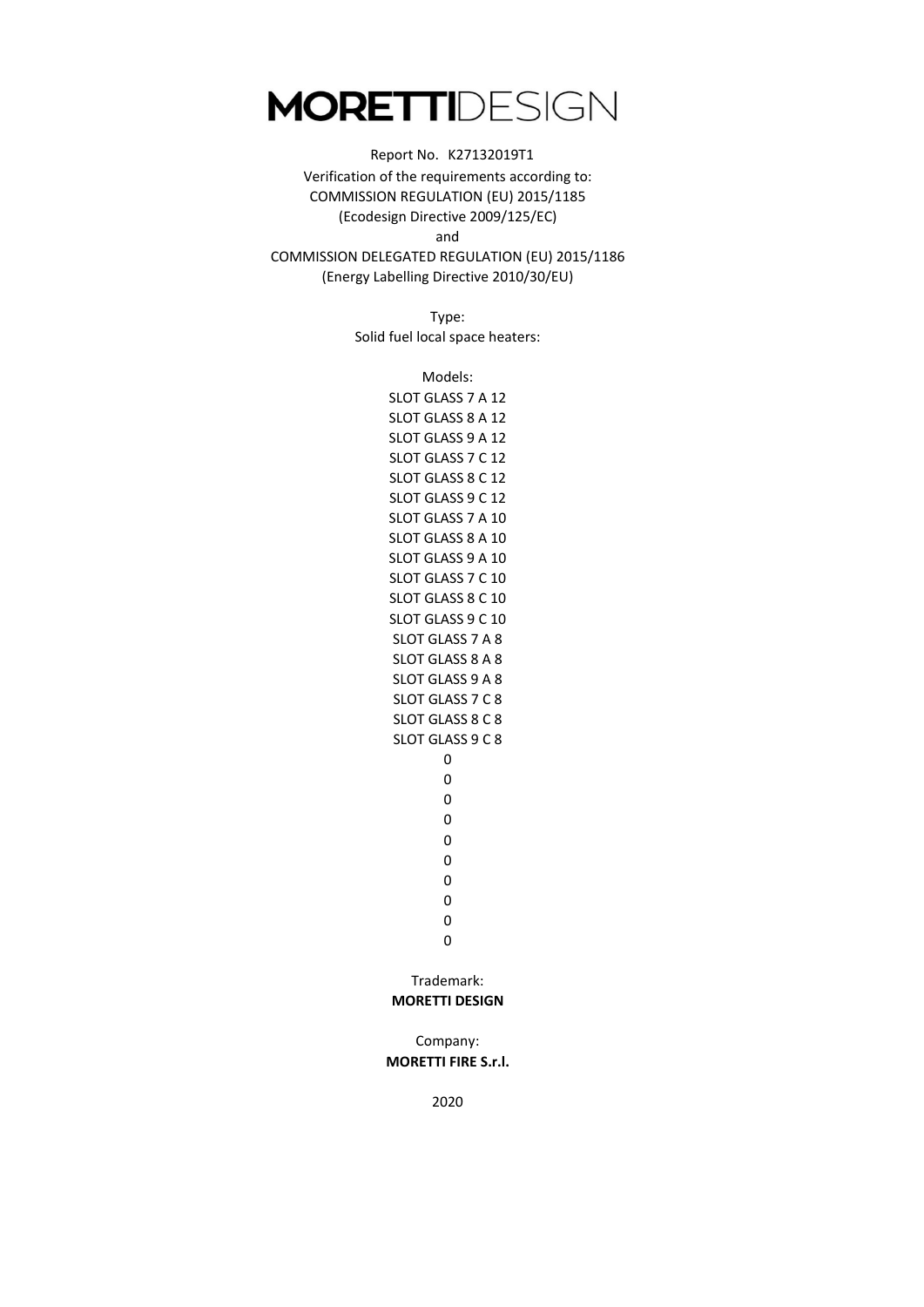### Report No. K27132019T1 Verification of the requirements according to: COMMISSION REGULATION (EU) 2015/1185 (Ecodesign Directive 2009/125/EC)

and

COMMISSION DELEGATED REGULATION (EU) 2015/1186 (Energy Labelling Directive 2010/30/EU)

> Type: Solid fuel local space heaters:

> > 0 0 0  $\Omega$ 0 SLOT GLASS 8 A 8 SLOT GLASS 9 A 8 SLOT GLASS 7 C 8 SLOT GLASS 8 C 8 SLOT GLASS 9 C 8  $\Omega$ Trademark: 0 0 0 0 SLOT GLASS 9 A 10 SLOT GLASS 7 C 10 SLOT GLASS 8 C 10 SLOT GLASS 7 A 8 SLOT GLASS 9 C 10 SLOT GLASS 9 A 12 SLOT GLASS 7 C 12 SLOT GLASS 8 C 12 SLOT GLASS 9 C 12 SLOT GLASS 7 A 10 SLOT GLASS 8 A 10 Models: SLOT GLASS 7 A 12 SLOT GLASS 8 A 12

#### **MORETTI DESIGN**

Company: **MORETTI FIRE S.r.l.**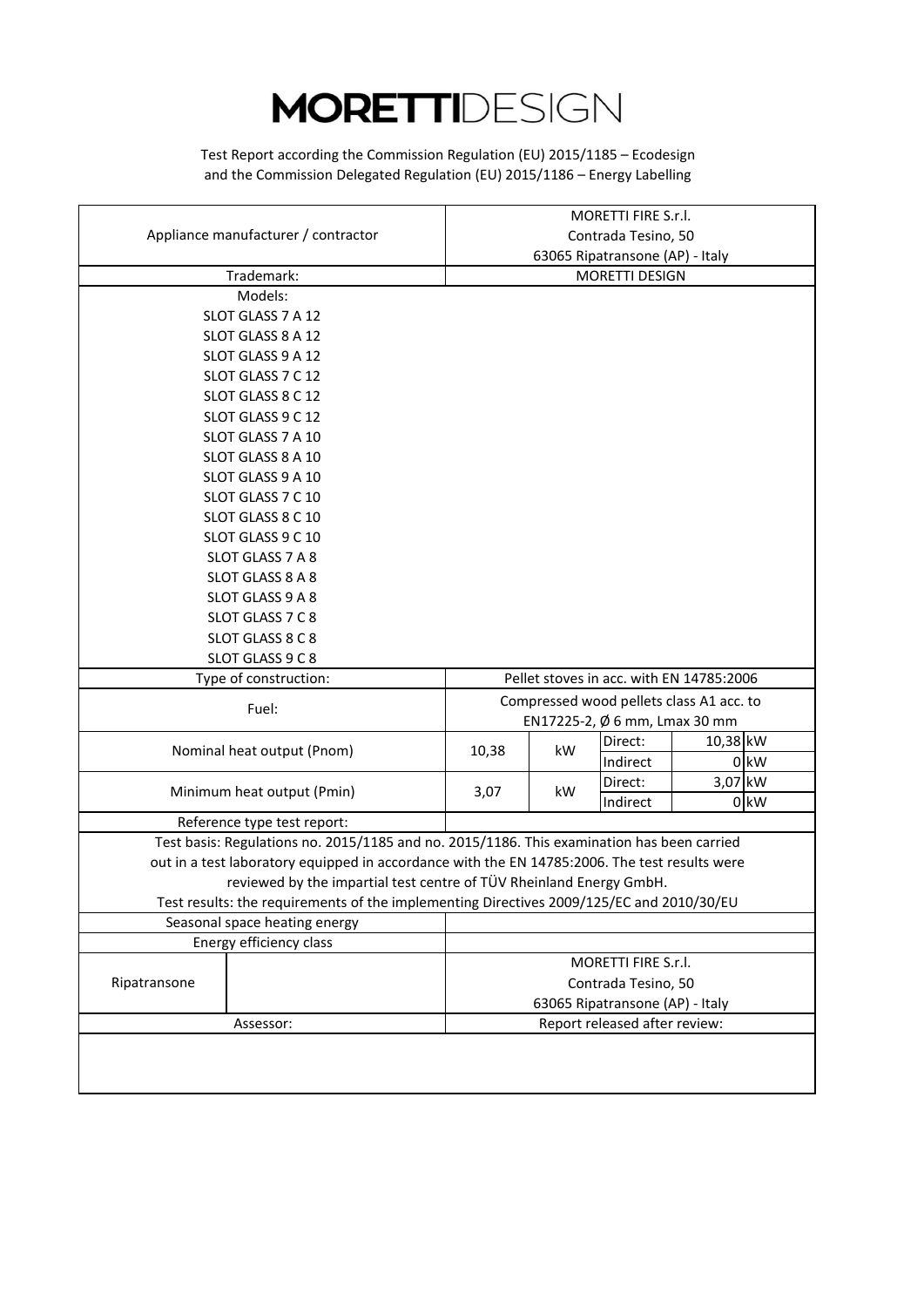and the Commission Delegated Regulation (EU) 2015/1186 – Energy Labelling Test Report according the Commission Regulation (EU) 2015/1185 – Ecodesign

| Appliance manufacturer / contractor<br>Contrada Tesino, 50<br>63065 Ripatransone (AP) - Italy<br>Trademark:<br>MORETTI DESIGN<br>Models:<br>SLOT GLASS 7 A 12<br>SLOT GLASS 8 A 12<br>SLOT GLASS 9 A 12<br>SLOT GLASS 7 C 12<br>SLOT GLASS 8 C 12<br>SLOT GLASS 9 C 12<br>SLOT GLASS 7 A 10<br>SLOT GLASS 8 A 10<br>SLOT GLASS 9 A 10<br>SLOT GLASS 7 C 10<br>SLOT GLASS 8 C 10<br>SLOT GLASS 9 C 10<br>SLOT GLASS 7 A 8<br>SLOT GLASS 8 A 8<br>SLOT GLASS 9 A 8<br>SLOT GLASS 7 C 8<br>SLOT GLASS 8 C 8<br>SLOT GLASS 9 C 8<br>Type of construction:<br>Pellet stoves in acc. with EN 14785:2006<br>Compressed wood pellets class A1 acc. to<br>Fuel:<br>EN17225-2, Ø 6 mm, Lmax 30 mm<br>$10,38$ <sub>KW</sub><br>Direct:<br>Nominal heat output (Pnom)<br>10,38<br>kW<br>$0$ kW<br>Indirect<br>3,07 kW<br>Direct:<br>Minimum heat output (Pmin)<br>3,07<br>kW<br>$0$ kW<br>Indirect<br>Reference type test report:<br>Test basis: Regulations no. 2015/1185 and no. 2015/1186. This examination has been carried<br>out in a test laboratory equipped in accordance with the EN 14785:2006. The test results were<br>reviewed by the impartial test centre of TÜV Rheinland Energy GmbH.<br>Test results: the requirements of the implementing Directives 2009/125/EC and 2010/30/EU<br>Seasonal space heating energy<br>Energy efficiency class<br>MORETTI FIRE S.r.l. |              |  | MORETTI FIRE S.r.l. |  |                     |  |  |
|----------------------------------------------------------------------------------------------------------------------------------------------------------------------------------------------------------------------------------------------------------------------------------------------------------------------------------------------------------------------------------------------------------------------------------------------------------------------------------------------------------------------------------------------------------------------------------------------------------------------------------------------------------------------------------------------------------------------------------------------------------------------------------------------------------------------------------------------------------------------------------------------------------------------------------------------------------------------------------------------------------------------------------------------------------------------------------------------------------------------------------------------------------------------------------------------------------------------------------------------------------------------------------------------------------------------------------------------------------------------------|--------------|--|---------------------|--|---------------------|--|--|
|                                                                                                                                                                                                                                                                                                                                                                                                                                                                                                                                                                                                                                                                                                                                                                                                                                                                                                                                                                                                                                                                                                                                                                                                                                                                                                                                                                            |              |  |                     |  |                     |  |  |
|                                                                                                                                                                                                                                                                                                                                                                                                                                                                                                                                                                                                                                                                                                                                                                                                                                                                                                                                                                                                                                                                                                                                                                                                                                                                                                                                                                            |              |  |                     |  |                     |  |  |
|                                                                                                                                                                                                                                                                                                                                                                                                                                                                                                                                                                                                                                                                                                                                                                                                                                                                                                                                                                                                                                                                                                                                                                                                                                                                                                                                                                            |              |  |                     |  |                     |  |  |
|                                                                                                                                                                                                                                                                                                                                                                                                                                                                                                                                                                                                                                                                                                                                                                                                                                                                                                                                                                                                                                                                                                                                                                                                                                                                                                                                                                            |              |  |                     |  |                     |  |  |
|                                                                                                                                                                                                                                                                                                                                                                                                                                                                                                                                                                                                                                                                                                                                                                                                                                                                                                                                                                                                                                                                                                                                                                                                                                                                                                                                                                            |              |  |                     |  |                     |  |  |
|                                                                                                                                                                                                                                                                                                                                                                                                                                                                                                                                                                                                                                                                                                                                                                                                                                                                                                                                                                                                                                                                                                                                                                                                                                                                                                                                                                            |              |  |                     |  |                     |  |  |
|                                                                                                                                                                                                                                                                                                                                                                                                                                                                                                                                                                                                                                                                                                                                                                                                                                                                                                                                                                                                                                                                                                                                                                                                                                                                                                                                                                            |              |  |                     |  |                     |  |  |
|                                                                                                                                                                                                                                                                                                                                                                                                                                                                                                                                                                                                                                                                                                                                                                                                                                                                                                                                                                                                                                                                                                                                                                                                                                                                                                                                                                            |              |  |                     |  |                     |  |  |
|                                                                                                                                                                                                                                                                                                                                                                                                                                                                                                                                                                                                                                                                                                                                                                                                                                                                                                                                                                                                                                                                                                                                                                                                                                                                                                                                                                            |              |  |                     |  |                     |  |  |
|                                                                                                                                                                                                                                                                                                                                                                                                                                                                                                                                                                                                                                                                                                                                                                                                                                                                                                                                                                                                                                                                                                                                                                                                                                                                                                                                                                            |              |  |                     |  |                     |  |  |
|                                                                                                                                                                                                                                                                                                                                                                                                                                                                                                                                                                                                                                                                                                                                                                                                                                                                                                                                                                                                                                                                                                                                                                                                                                                                                                                                                                            |              |  |                     |  |                     |  |  |
|                                                                                                                                                                                                                                                                                                                                                                                                                                                                                                                                                                                                                                                                                                                                                                                                                                                                                                                                                                                                                                                                                                                                                                                                                                                                                                                                                                            |              |  |                     |  |                     |  |  |
|                                                                                                                                                                                                                                                                                                                                                                                                                                                                                                                                                                                                                                                                                                                                                                                                                                                                                                                                                                                                                                                                                                                                                                                                                                                                                                                                                                            |              |  |                     |  |                     |  |  |
|                                                                                                                                                                                                                                                                                                                                                                                                                                                                                                                                                                                                                                                                                                                                                                                                                                                                                                                                                                                                                                                                                                                                                                                                                                                                                                                                                                            |              |  |                     |  |                     |  |  |
|                                                                                                                                                                                                                                                                                                                                                                                                                                                                                                                                                                                                                                                                                                                                                                                                                                                                                                                                                                                                                                                                                                                                                                                                                                                                                                                                                                            |              |  |                     |  |                     |  |  |
|                                                                                                                                                                                                                                                                                                                                                                                                                                                                                                                                                                                                                                                                                                                                                                                                                                                                                                                                                                                                                                                                                                                                                                                                                                                                                                                                                                            |              |  |                     |  |                     |  |  |
|                                                                                                                                                                                                                                                                                                                                                                                                                                                                                                                                                                                                                                                                                                                                                                                                                                                                                                                                                                                                                                                                                                                                                                                                                                                                                                                                                                            |              |  |                     |  |                     |  |  |
|                                                                                                                                                                                                                                                                                                                                                                                                                                                                                                                                                                                                                                                                                                                                                                                                                                                                                                                                                                                                                                                                                                                                                                                                                                                                                                                                                                            |              |  |                     |  |                     |  |  |
|                                                                                                                                                                                                                                                                                                                                                                                                                                                                                                                                                                                                                                                                                                                                                                                                                                                                                                                                                                                                                                                                                                                                                                                                                                                                                                                                                                            |              |  |                     |  |                     |  |  |
|                                                                                                                                                                                                                                                                                                                                                                                                                                                                                                                                                                                                                                                                                                                                                                                                                                                                                                                                                                                                                                                                                                                                                                                                                                                                                                                                                                            |              |  |                     |  |                     |  |  |
|                                                                                                                                                                                                                                                                                                                                                                                                                                                                                                                                                                                                                                                                                                                                                                                                                                                                                                                                                                                                                                                                                                                                                                                                                                                                                                                                                                            |              |  |                     |  |                     |  |  |
|                                                                                                                                                                                                                                                                                                                                                                                                                                                                                                                                                                                                                                                                                                                                                                                                                                                                                                                                                                                                                                                                                                                                                                                                                                                                                                                                                                            |              |  |                     |  |                     |  |  |
|                                                                                                                                                                                                                                                                                                                                                                                                                                                                                                                                                                                                                                                                                                                                                                                                                                                                                                                                                                                                                                                                                                                                                                                                                                                                                                                                                                            |              |  |                     |  |                     |  |  |
|                                                                                                                                                                                                                                                                                                                                                                                                                                                                                                                                                                                                                                                                                                                                                                                                                                                                                                                                                                                                                                                                                                                                                                                                                                                                                                                                                                            |              |  |                     |  |                     |  |  |
|                                                                                                                                                                                                                                                                                                                                                                                                                                                                                                                                                                                                                                                                                                                                                                                                                                                                                                                                                                                                                                                                                                                                                                                                                                                                                                                                                                            |              |  |                     |  |                     |  |  |
|                                                                                                                                                                                                                                                                                                                                                                                                                                                                                                                                                                                                                                                                                                                                                                                                                                                                                                                                                                                                                                                                                                                                                                                                                                                                                                                                                                            |              |  |                     |  |                     |  |  |
|                                                                                                                                                                                                                                                                                                                                                                                                                                                                                                                                                                                                                                                                                                                                                                                                                                                                                                                                                                                                                                                                                                                                                                                                                                                                                                                                                                            |              |  |                     |  |                     |  |  |
|                                                                                                                                                                                                                                                                                                                                                                                                                                                                                                                                                                                                                                                                                                                                                                                                                                                                                                                                                                                                                                                                                                                                                                                                                                                                                                                                                                            |              |  |                     |  |                     |  |  |
|                                                                                                                                                                                                                                                                                                                                                                                                                                                                                                                                                                                                                                                                                                                                                                                                                                                                                                                                                                                                                                                                                                                                                                                                                                                                                                                                                                            |              |  |                     |  |                     |  |  |
|                                                                                                                                                                                                                                                                                                                                                                                                                                                                                                                                                                                                                                                                                                                                                                                                                                                                                                                                                                                                                                                                                                                                                                                                                                                                                                                                                                            |              |  |                     |  |                     |  |  |
|                                                                                                                                                                                                                                                                                                                                                                                                                                                                                                                                                                                                                                                                                                                                                                                                                                                                                                                                                                                                                                                                                                                                                                                                                                                                                                                                                                            |              |  |                     |  |                     |  |  |
|                                                                                                                                                                                                                                                                                                                                                                                                                                                                                                                                                                                                                                                                                                                                                                                                                                                                                                                                                                                                                                                                                                                                                                                                                                                                                                                                                                            |              |  |                     |  |                     |  |  |
|                                                                                                                                                                                                                                                                                                                                                                                                                                                                                                                                                                                                                                                                                                                                                                                                                                                                                                                                                                                                                                                                                                                                                                                                                                                                                                                                                                            |              |  |                     |  |                     |  |  |
|                                                                                                                                                                                                                                                                                                                                                                                                                                                                                                                                                                                                                                                                                                                                                                                                                                                                                                                                                                                                                                                                                                                                                                                                                                                                                                                                                                            |              |  |                     |  |                     |  |  |
|                                                                                                                                                                                                                                                                                                                                                                                                                                                                                                                                                                                                                                                                                                                                                                                                                                                                                                                                                                                                                                                                                                                                                                                                                                                                                                                                                                            |              |  |                     |  |                     |  |  |
|                                                                                                                                                                                                                                                                                                                                                                                                                                                                                                                                                                                                                                                                                                                                                                                                                                                                                                                                                                                                                                                                                                                                                                                                                                                                                                                                                                            |              |  |                     |  |                     |  |  |
|                                                                                                                                                                                                                                                                                                                                                                                                                                                                                                                                                                                                                                                                                                                                                                                                                                                                                                                                                                                                                                                                                                                                                                                                                                                                                                                                                                            |              |  |                     |  |                     |  |  |
|                                                                                                                                                                                                                                                                                                                                                                                                                                                                                                                                                                                                                                                                                                                                                                                                                                                                                                                                                                                                                                                                                                                                                                                                                                                                                                                                                                            | Ripatransone |  |                     |  | Contrada Tesino, 50 |  |  |
| 63065 Ripatransone (AP) - Italy                                                                                                                                                                                                                                                                                                                                                                                                                                                                                                                                                                                                                                                                                                                                                                                                                                                                                                                                                                                                                                                                                                                                                                                                                                                                                                                                            |              |  |                     |  |                     |  |  |
| Report released after review:<br>Assessor:                                                                                                                                                                                                                                                                                                                                                                                                                                                                                                                                                                                                                                                                                                                                                                                                                                                                                                                                                                                                                                                                                                                                                                                                                                                                                                                                 |              |  |                     |  |                     |  |  |
|                                                                                                                                                                                                                                                                                                                                                                                                                                                                                                                                                                                                                                                                                                                                                                                                                                                                                                                                                                                                                                                                                                                                                                                                                                                                                                                                                                            |              |  |                     |  |                     |  |  |
|                                                                                                                                                                                                                                                                                                                                                                                                                                                                                                                                                                                                                                                                                                                                                                                                                                                                                                                                                                                                                                                                                                                                                                                                                                                                                                                                                                            |              |  |                     |  |                     |  |  |
|                                                                                                                                                                                                                                                                                                                                                                                                                                                                                                                                                                                                                                                                                                                                                                                                                                                                                                                                                                                                                                                                                                                                                                                                                                                                                                                                                                            |              |  |                     |  |                     |  |  |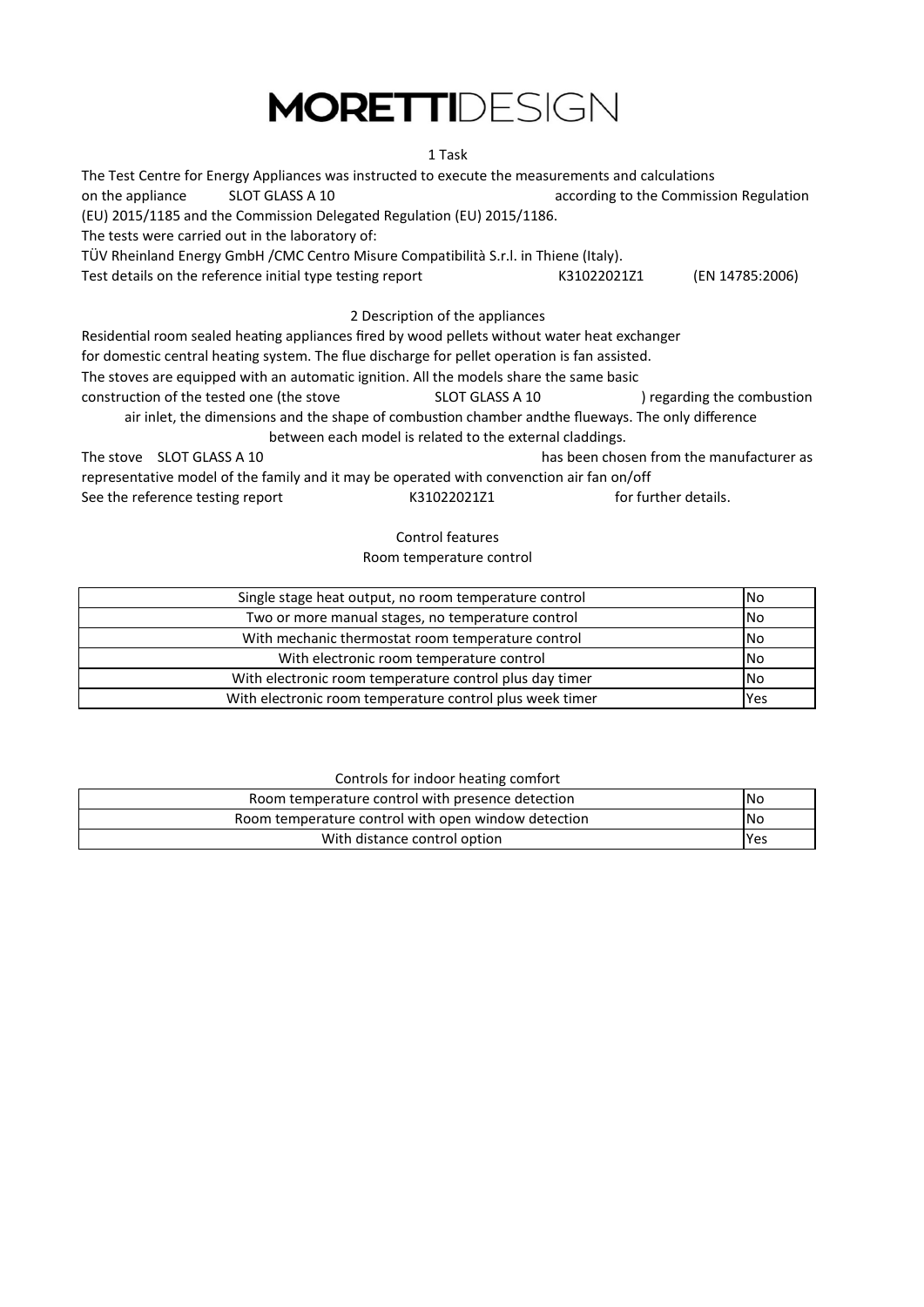### 1 Task

| The Test Centre for Energy Appliances was instructed to execute the measurements and calculations   |                                          |                            |  |  |  |
|-----------------------------------------------------------------------------------------------------|------------------------------------------|----------------------------|--|--|--|
| on the appliance<br>SLOT GLASS A 10                                                                 | according to the Commission Regulation   |                            |  |  |  |
| (EU) 2015/1185 and the Commission Delegated Regulation (EU) 2015/1186.                              |                                          |                            |  |  |  |
| The tests were carried out in the laboratory of:                                                    |                                          |                            |  |  |  |
| TÜV Rheinland Energy GmbH / CMC Centro Misure Compatibilità S.r.l. in Thiene (Italy).               |                                          |                            |  |  |  |
| Test details on the reference initial type testing report                                           | K31022021Z1                              | (EN 14785:2006)            |  |  |  |
| 2 Description of the appliances                                                                     |                                          |                            |  |  |  |
| Residential room sealed heating appliances fired by wood pellets without water heat exchanger       |                                          |                            |  |  |  |
| for domestic central heating system. The flue discharge for pellet operation is fan assisted.       |                                          |                            |  |  |  |
| The stoves are equipped with an automatic ignition. All the models share the same basic             |                                          |                            |  |  |  |
| construction of the tested one (the stove<br>SLOT GLASS A 10                                        |                                          | ) regarding the combustion |  |  |  |
| air inlet, the dimensions and the shape of combustion chamber and the flueways. The only difference |                                          |                            |  |  |  |
| between each model is related to the external claddings.                                            |                                          |                            |  |  |  |
| The stove SLOT GLASS A 10                                                                           | has been chosen from the manufacturer as |                            |  |  |  |
| representative model of the family and it may be operated with convenction air fan on/off           |                                          |                            |  |  |  |
| See the reference testing report<br>K31022021Z1                                                     | for further details.                     |                            |  |  |  |

### Control features Room temperature control

| Single stage heat output, no room temperature control    | l No      |
|----------------------------------------------------------|-----------|
| Two or more manual stages, no temperature control        | <b>No</b> |
| With mechanic thermostat room temperature control        | No        |
| With electronic room temperature control                 | <b>No</b> |
| With electronic room temperature control plus day timer  | <b>No</b> |
| With electronic room temperature control plus week timer | Yes       |

### Controls for indoor heating comfort

| Room temperature control with presence detection    | <b>No</b>  |
|-----------------------------------------------------|------------|
| Room temperature control with open window detection | <b>INo</b> |
| With distance control option                        | <b>Yes</b> |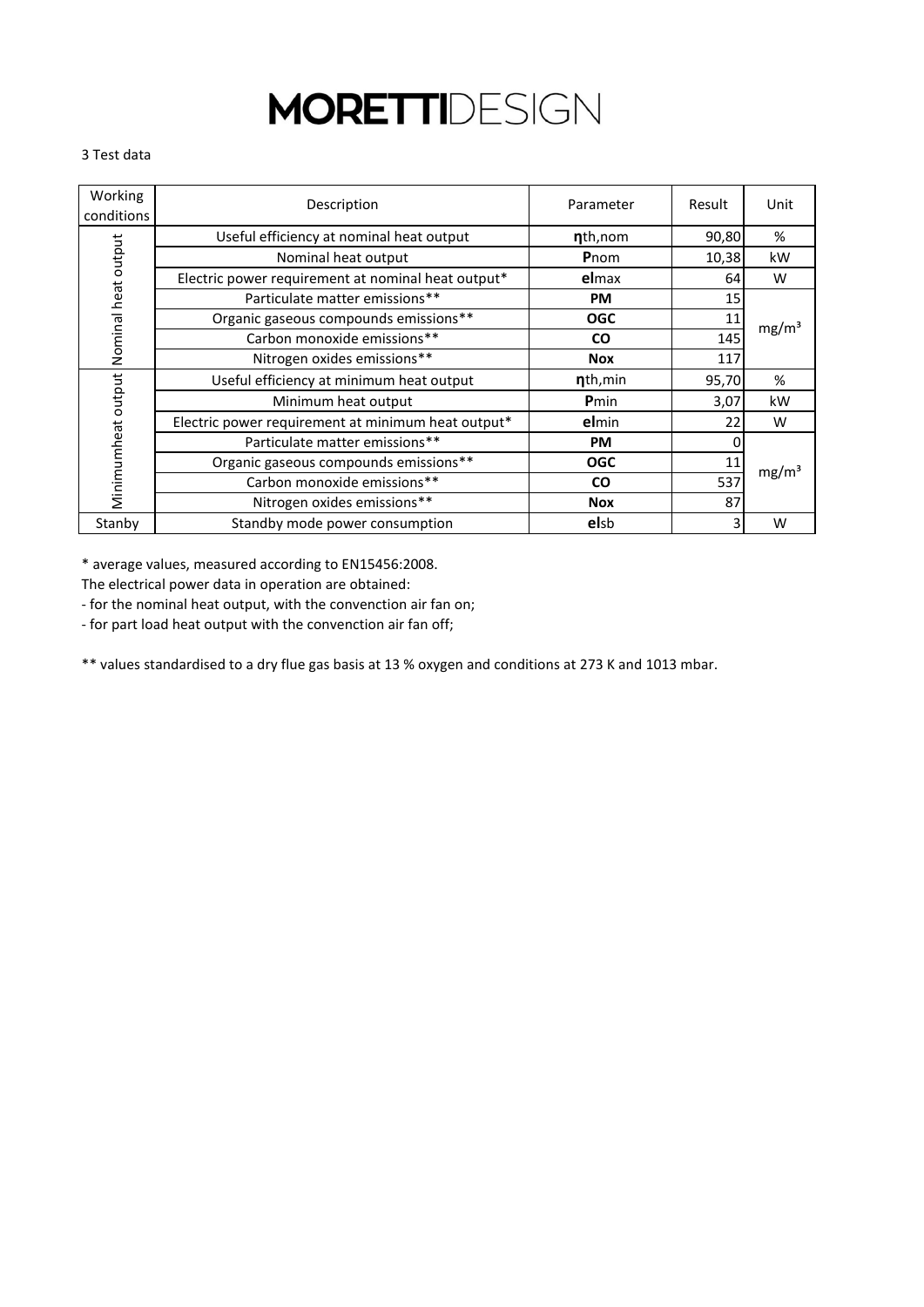#### 3 Test data

| Working<br>conditions | Description                                        | Parameter    | Result | Unit              |
|-----------------------|----------------------------------------------------|--------------|--------|-------------------|
|                       | Useful efficiency at nominal heat output           | nth, nom     | 90,80  | %                 |
|                       | Nominal heat output                                | Pnom         | 10,38  | kW                |
| Nominal heat output   | Electric power requirement at nominal heat output* | elmax        | 64     | W                 |
|                       | Particulate matter emissions**                     | <b>PM</b>    | 15     |                   |
|                       | Organic gaseous compounds emissions**              | <b>OGC</b>   | 11     | mg/m <sup>3</sup> |
|                       | Carbon monoxide emissions**                        | <b>CO</b>    | 145    |                   |
|                       | Nitrogen oxides emissions**                        | <b>Nox</b>   | 117    |                   |
|                       | Useful efficiency at minimum heat output           | nth, min     | 95,70  | %                 |
|                       | Minimum heat output                                | <b>P</b> min | 3,07   | kW                |
|                       | Electric power requirement at minimum heat output* | elmin        | 22     | W                 |
|                       | Particulate matter emissions**                     | <b>PM</b>    |        |                   |
| Minimumheat output    | Organic gaseous compounds emissions**              | <b>OGC</b>   | 11     | mg/m <sup>3</sup> |
|                       | Carbon monoxide emissions**                        | <b>CO</b>    | 537    |                   |
|                       | Nitrogen oxides emissions**                        | <b>Nox</b>   | 87     |                   |
| Stanby                | Standby mode power consumption                     | elsb         |        | W                 |

\* average values, measured according to EN15456:2008.

The electrical power data in operation are obtained:

- for the nominal heat output, with the convenction air fan on;

- for part load heat output with the convenction air fan off;

\*\* values standardised to a dry flue gas basis at 13 % oxygen and conditions at 273 K and 1013 mbar.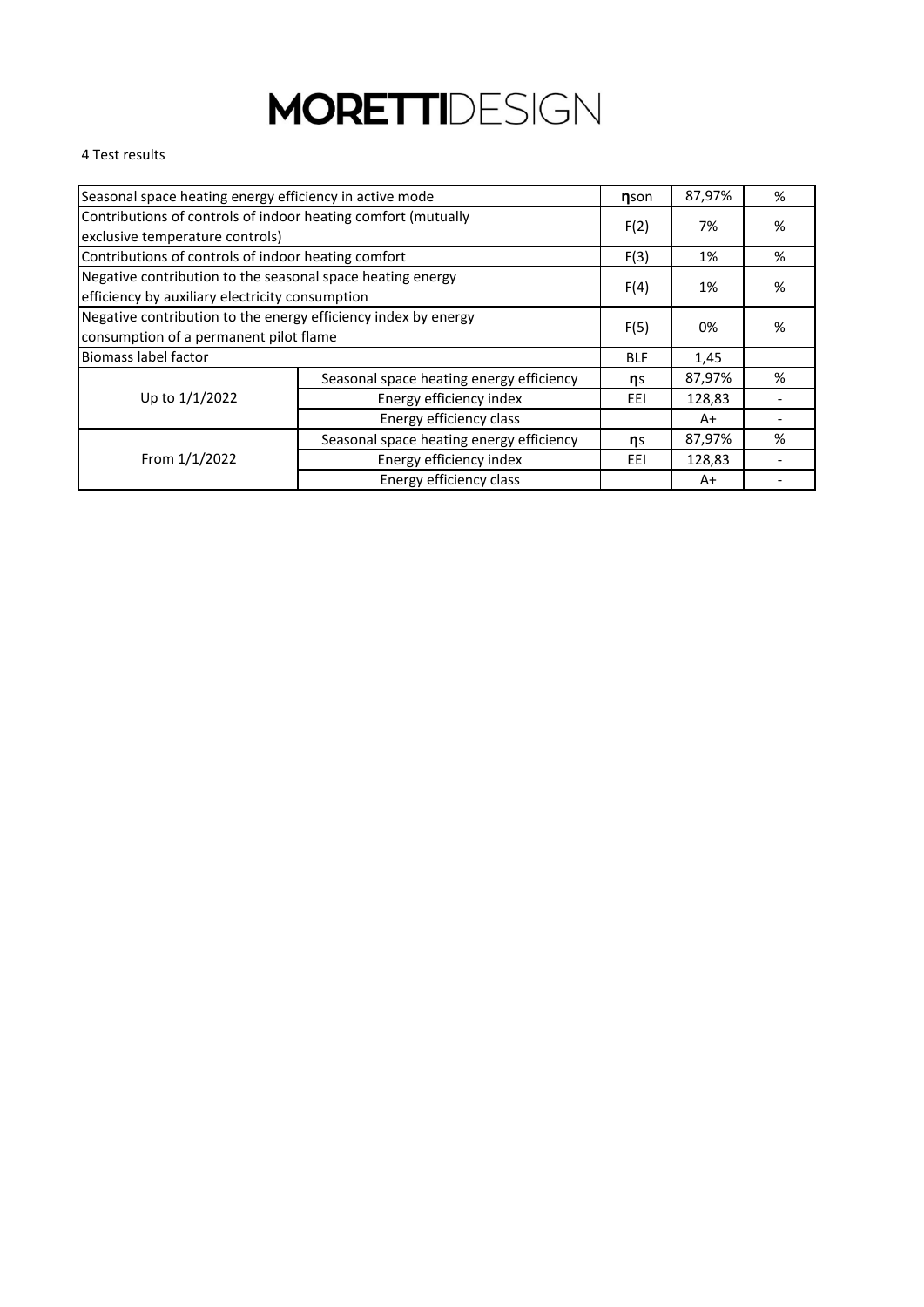### 4 Test results

| Seasonal space heating energy efficiency in active mode                                                       |                                          |            | 87,97% | % |
|---------------------------------------------------------------------------------------------------------------|------------------------------------------|------------|--------|---|
| Contributions of controls of indoor heating comfort (mutually<br>exclusive temperature controls)              |                                          | F(2)       | 7%     | % |
| Contributions of controls of indoor heating comfort                                                           |                                          | F(3)       | 1%     | % |
| Negative contribution to the seasonal space heating energy<br>efficiency by auxiliary electricity consumption |                                          | F(4)       | 1%     | % |
| Negative contribution to the energy efficiency index by energy<br>consumption of a permanent pilot flame      |                                          |            | 0%     | % |
| Biomass label factor                                                                                          |                                          | <b>BLF</b> | 1,45   |   |
|                                                                                                               | Seasonal space heating energy efficiency | ns         | 87,97% | % |
| Up to 1/1/2022                                                                                                | Energy efficiency index                  | EEI        | 128,83 |   |
| Energy efficiency class                                                                                       |                                          |            | A+     |   |
|                                                                                                               | Seasonal space heating energy efficiency | ns         | 87,97% | % |
| From 1/1/2022                                                                                                 | Energy efficiency index                  | EEI        | 128,83 |   |
|                                                                                                               | Energy efficiency class                  |            | $A+$   |   |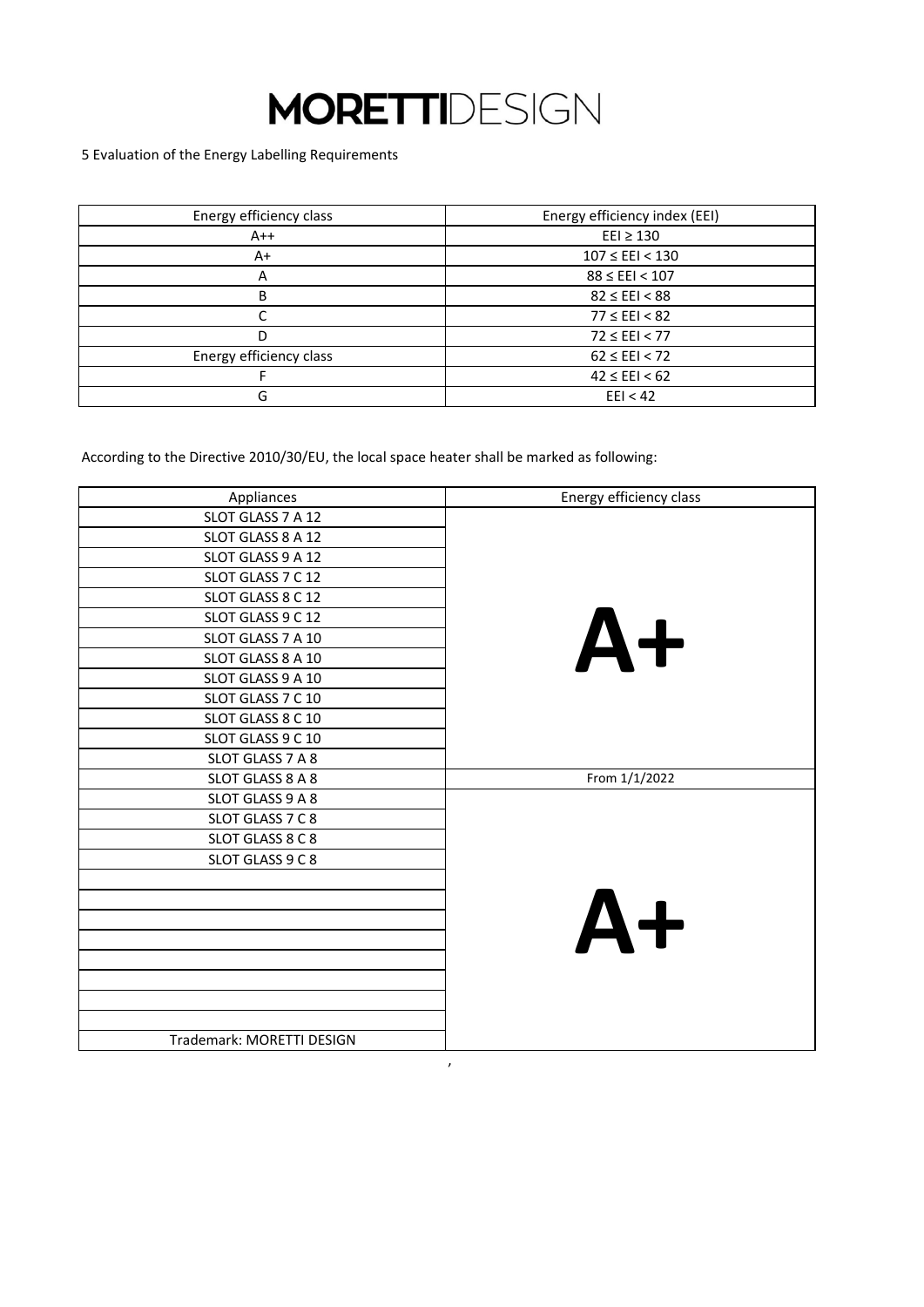5 Evaluation of the Energy Labelling Requirements

| Energy efficiency class | Energy efficiency index (EEI) |
|-------------------------|-------------------------------|
| $A++$                   | $E E1 \geq 130$               |
| $A+$                    | $107 \leq EEI < 130$          |
|                         | $88 \leq EEI < 107$           |
| B                       | $82 \leq EEI < 88$            |
|                         | $77 \leq EEI < 82$            |
| D                       | $72 \leq EEI < 77$            |
| Energy efficiency class | $62 \leq EEI < 72$            |
|                         | $42 \leq EEI < 62$            |
| G                       | EII < 42                      |

According to the Directive 2010/30/EU, the local space heater shall be marked as following:

| Appliances                | Energy efficiency class |
|---------------------------|-------------------------|
| SLOT GLASS 7 A 12         |                         |
| SLOT GLASS 8 A 12         |                         |
| SLOT GLASS 9 A 12         |                         |
| SLOT GLASS 7 C 12         |                         |
| SLOT GLASS 8 C 12         |                         |
| SLOT GLASS 9 C 12         |                         |
| SLOT GLASS 7 A 10         | $A+$                    |
| SLOT GLASS 8 A 10         |                         |
| SLOT GLASS 9 A 10         |                         |
| SLOT GLASS 7 C 10         |                         |
| SLOT GLASS 8 C 10         |                         |
| SLOT GLASS 9 C 10         |                         |
| SLOT GLASS 7 A 8          |                         |
| SLOT GLASS 8 A 8          | From 1/1/2022           |
| SLOT GLASS 9 A 8          |                         |
| SLOT GLASS 7 C 8          |                         |
| SLOT GLASS 8 C 8          |                         |
| SLOT GLASS 9 C 8          |                         |
|                           |                         |
|                           |                         |
|                           | $A+$                    |
|                           |                         |
|                           |                         |
|                           |                         |
|                           |                         |
|                           |                         |
| Trademark: MORETTI DESIGN |                         |

 $\lambda$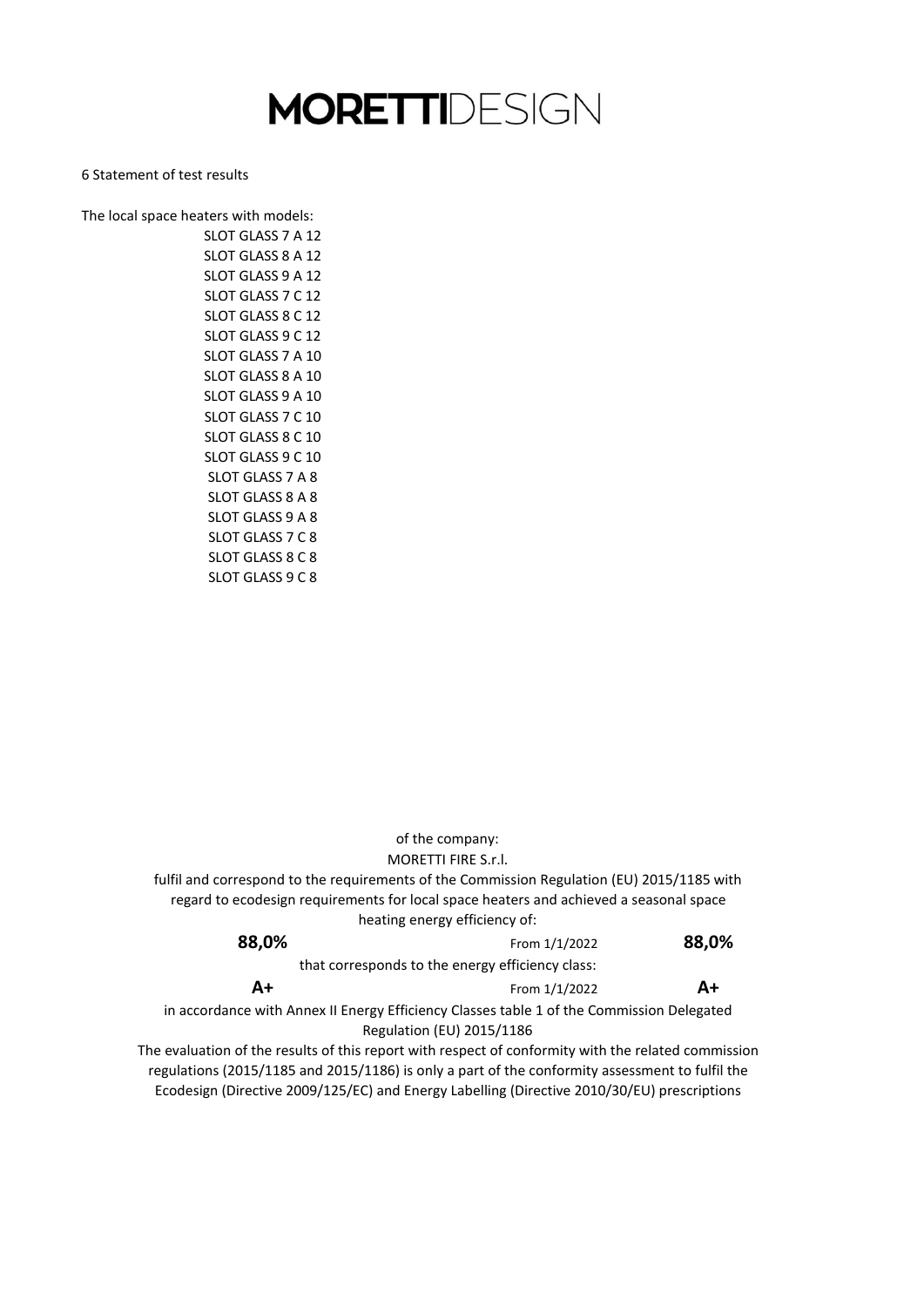#### 6 Statement of test results

The local space heaters with models: SLOT GLASS 8 C 12 SLOT GLASS 9 C 12 SLOT GLASS 7 A 10 SLOT GLASS 8 A 8 SLOT GLASS 9 A 8 SLOT GLASS 8 C 10 SLOT GLASS 9 C 10 SLOT GLASS 7 A 8 SLOT GLASS 8 A 10 SLOT GLASS 9 A 10 SLOT GLASS 7 C 10 SLOT GLASS 7 C 8 SLOT GLASS 8 C 8 SLOT GLASS 9 C 8 SLOT GLASS 7 A 12 SLOT GLASS 8 A 12 SLOT GLASS 9 A 12 SLOT GLASS 7 C 12

|                                                                                                     | of the company:                                  |       |
|-----------------------------------------------------------------------------------------------------|--------------------------------------------------|-------|
|                                                                                                     | MORETTI FIRE S.r.l.                              |       |
| fulfil and correspond to the requirements of the Commission Regulation (EU) 2015/1185 with          |                                                  |       |
| regard to ecodesign requirements for local space heaters and achieved a seasonal space              |                                                  |       |
|                                                                                                     | heating energy efficiency of:                    |       |
| 88,0%                                                                                               | From 1/1/2022                                    | 88,0% |
|                                                                                                     | that corresponds to the energy efficiency class: |       |
| $A+$                                                                                                | From 1/1/2022                                    | A+    |
| in accordance with Annex II Energy Efficiency Classes table 1 of the Commission Delegated           |                                                  |       |
|                                                                                                     | Regulation (EU) 2015/1186                        |       |
| The evaluation of the results of this report with respect of conformity with the related commission |                                                  |       |
|                                                                                                     |                                                  |       |

Ecodesign (Directive 2009/125/EC) and Energy Labelling (Directive 2010/30/EU) prescriptions regulations (2015/1185 and 2015/1186) is only a part of the conformity assessment to fulfil the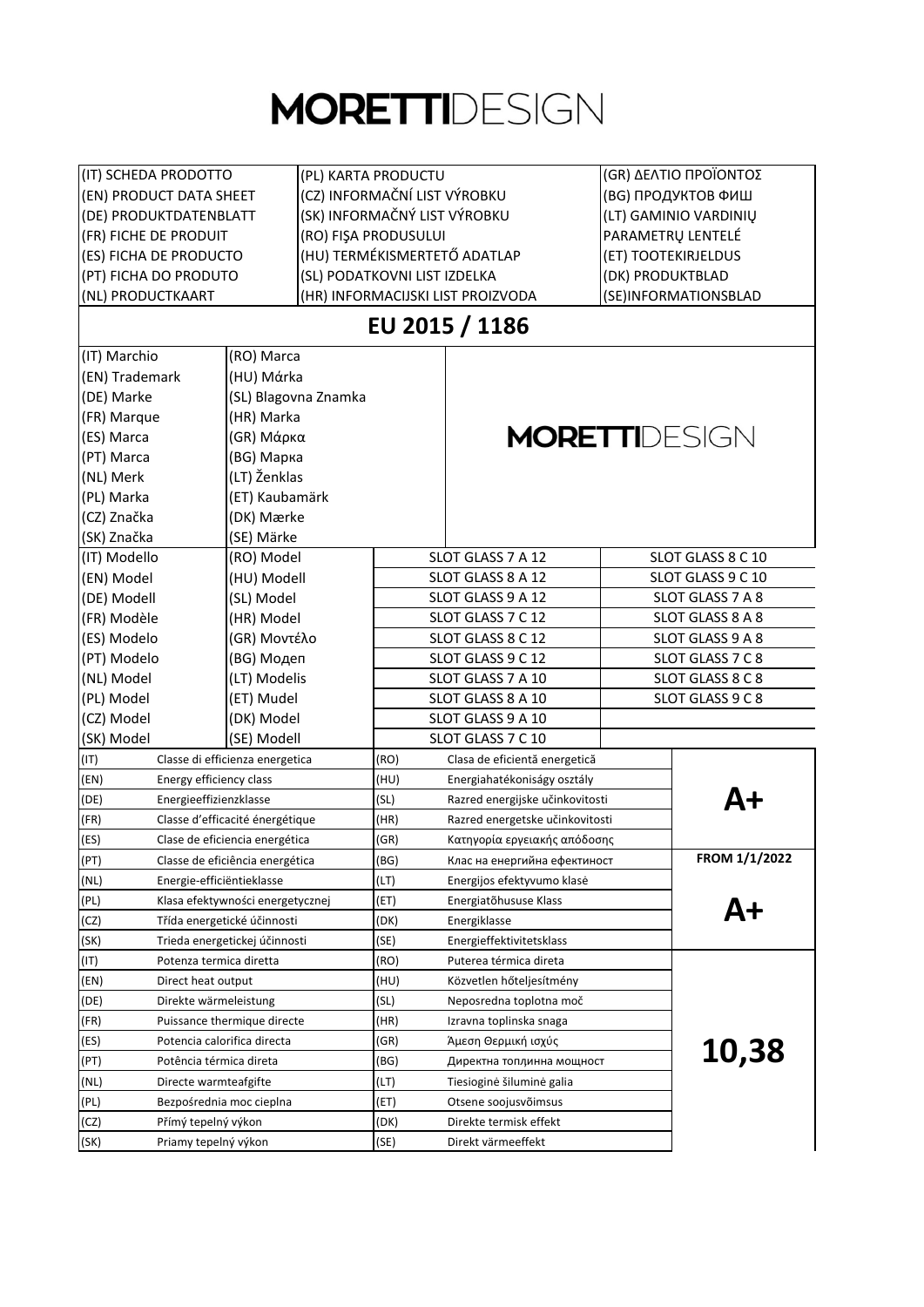| (IT) SCHEDA PRODOTTO                          |                                  | (PL) KARTA PRODUCTU          |                                       | (GR) ΔΕΛΤΙΟ ΠΡΟΪΟΝΤΟΣ |                      |
|-----------------------------------------------|----------------------------------|------------------------------|---------------------------------------|-----------------------|----------------------|
| (EN) PRODUCT DATA SHEET                       |                                  | (CZ) INFORMAČNÍ LIST VÝROBKU |                                       | (BG) ПРОДУКТОВ ФИШ    |                      |
| (DE) PRODUKTDATENBLATT                        |                                  | (SK) INFORMAČNÝ LIST VÝROBKU |                                       | (LT) GAMINIO VARDINIŲ |                      |
| (FR) FICHE DE PRODUIT<br>(RO) FIŞA PRODUSULUI |                                  |                              |                                       |                       | PARAMETRU LENTELÉ    |
| (ES) FICHA DE PRODUCTO                        |                                  |                              | (HU) TERMÉKISMERTETŐ ADATLAP          | (ET) TOOTEKIRJELDUS   |                      |
| (PT) FICHA DO PRODUTO                         |                                  |                              | (SL) PODATKOVNI LIST IZDELKA          |                       | (DK) PRODUKTBLAD     |
| (NL) PRODUCTKAART                             |                                  |                              | (HR) INFORMACIJSKI LIST PROIZVODA     |                       | (SE)INFORMATIONSBLAD |
|                                               |                                  |                              | EU 2015 / 1186                        |                       |                      |
| (IT) Marchio                                  | (RO) Marca                       |                              |                                       |                       |                      |
| (EN) Trademark                                | (HU) Márka                       |                              |                                       |                       |                      |
| (DE) Marke                                    | (SL) Blagovna Znamka             |                              |                                       |                       |                      |
| (FR) Marque                                   | (HR) Marka                       |                              |                                       |                       |                      |
| (ES) Marca                                    | (GR) Μάρκα                       |                              | <b>MORETTI</b> DESIGN                 |                       |                      |
| (PT) Marca                                    | (BG) Марка                       |                              |                                       |                       |                      |
| (NL) Merk                                     | (LT) Ženklas                     |                              |                                       |                       |                      |
| (PL) Marka                                    | (ET) Kaubamärk                   |                              |                                       |                       |                      |
| (CZ) Značka                                   | (DK) Mærke                       |                              |                                       |                       |                      |
| (SK) Značka                                   | (SE) Märke                       |                              |                                       |                       |                      |
| (IT) Modello                                  | (RO) Model                       |                              | SLOT GLASS 7 A 12                     |                       | SLOT GLASS 8 C 10    |
| (EN) Model                                    |                                  |                              | SLOT GLASS 8 A 12                     |                       | SLOT GLASS 9 C 10    |
|                                               | (HU) Modell                      |                              |                                       |                       |                      |
| (DE) Modell                                   | (SL) Model                       |                              | SLOT GLASS 7 A 8<br>SLOT GLASS 9 A 12 |                       |                      |
| (FR) Modèle                                   | (HR) Model                       |                              | SLOT GLASS 7 C 12                     |                       | SLOT GLASS 8 A 8     |
| (ES) Modelo                                   | (GR) Μοντέλο                     |                              | SLOT GLASS 8 C 12                     |                       | SLOT GLASS 9 A 8     |
| (PT) Modelo                                   | (BG) Модеп                       |                              | SLOT GLASS 9 C 12                     |                       | SLOT GLASS 7 C 8     |
| (NL) Model                                    | (LT) Modelis                     |                              | SLOT GLASS 7 A 10                     |                       | SLOT GLASS 8 C 8     |
| (PL) Model                                    | (ET) Mudel                       |                              | SLOT GLASS 8 A 10                     |                       | SLOT GLASS 9 C 8     |
| (CZ) Model                                    | (DK) Model                       |                              | SLOT GLASS 9 A 10                     |                       |                      |
| (SK) Model                                    | (SE) Modell                      |                              | SLOT GLASS 7 C 10                     |                       |                      |
| (IT)                                          | Classe di efficienza energetica  | (RO)                         | Clasa de eficientă energetică         |                       |                      |
| (EN)<br>Energy efficiency class               |                                  | (HU)                         | Energiahatékoniságy osztály           |                       |                      |
| (DE)<br>Energieeffizienzklasse                |                                  | (SL)                         | Razred energijske učinkovitosti       |                       | Д+                   |
| (FR)                                          | Classe d'efficacité énergétique  | (HR)                         | Razred energetske učinkovitosti       |                       |                      |
| (ES)                                          | Clase de eficiencia energética   | (GR)                         | Κατηγορία εργειακής απόδοσης          |                       |                      |
| (PT)                                          | Classe de eficiência energética  | (BG)                         | Клас на енергийна ефектиност          |                       | FROM 1/1/2022        |
| (NL)<br>Energie-efficiëntieklasse             |                                  | (LT)                         | Energijos efektyvumo klasė            |                       |                      |
| (PL)                                          | Klasa efektywności energetycznej | (ET)                         | Energiatõhususe Klass                 |                       | A+                   |
| (CZ)                                          | Třída energetické účinnosti      | (DK)                         | Energiklasse                          |                       |                      |
| (SK)<br>Trieda energetickej účinnosti         |                                  | (SE)                         | Energieffektivitetsklass              |                       |                      |
| (IT)<br>Potenza termica diretta               |                                  | (RO)                         | Puterea térmica direta                |                       |                      |
| (EN)<br>Direct heat output                    |                                  | (HU)                         | Közvetlen hőteljesítmény              |                       |                      |
| (DE)<br>Direkte wärmeleistung                 |                                  | (SL)                         | Neposredna toplotna moč               |                       |                      |
| (FR)                                          | Puissance thermique directe      | (HR)                         | Izravna toplinska snaga               |                       |                      |
| (ES)                                          | Potencia calorifica directa      | (GR)                         | Άμεση Θερμική ισχύς                   |                       |                      |
| (PT)<br>Potência térmica direta               |                                  | (BG)                         | Директна топлинна мощност             |                       | 10,38                |
| (NL)<br>Directe warmteafgifte                 |                                  | (LT)                         | Tiesioginė šiluminė galia             |                       |                      |
| (PL)                                          | Bezpośrednia moc cieplna         | (ET)                         | Otsene soojusvõimsus                  |                       |                      |
| (CZ)<br>Přímý tepelný výkon                   |                                  | (DK)                         | Direkte termisk effekt                |                       |                      |
| (SK)<br>Priamy tepelný výkon                  |                                  | (SE)                         | Direkt värmeeffekt                    |                       |                      |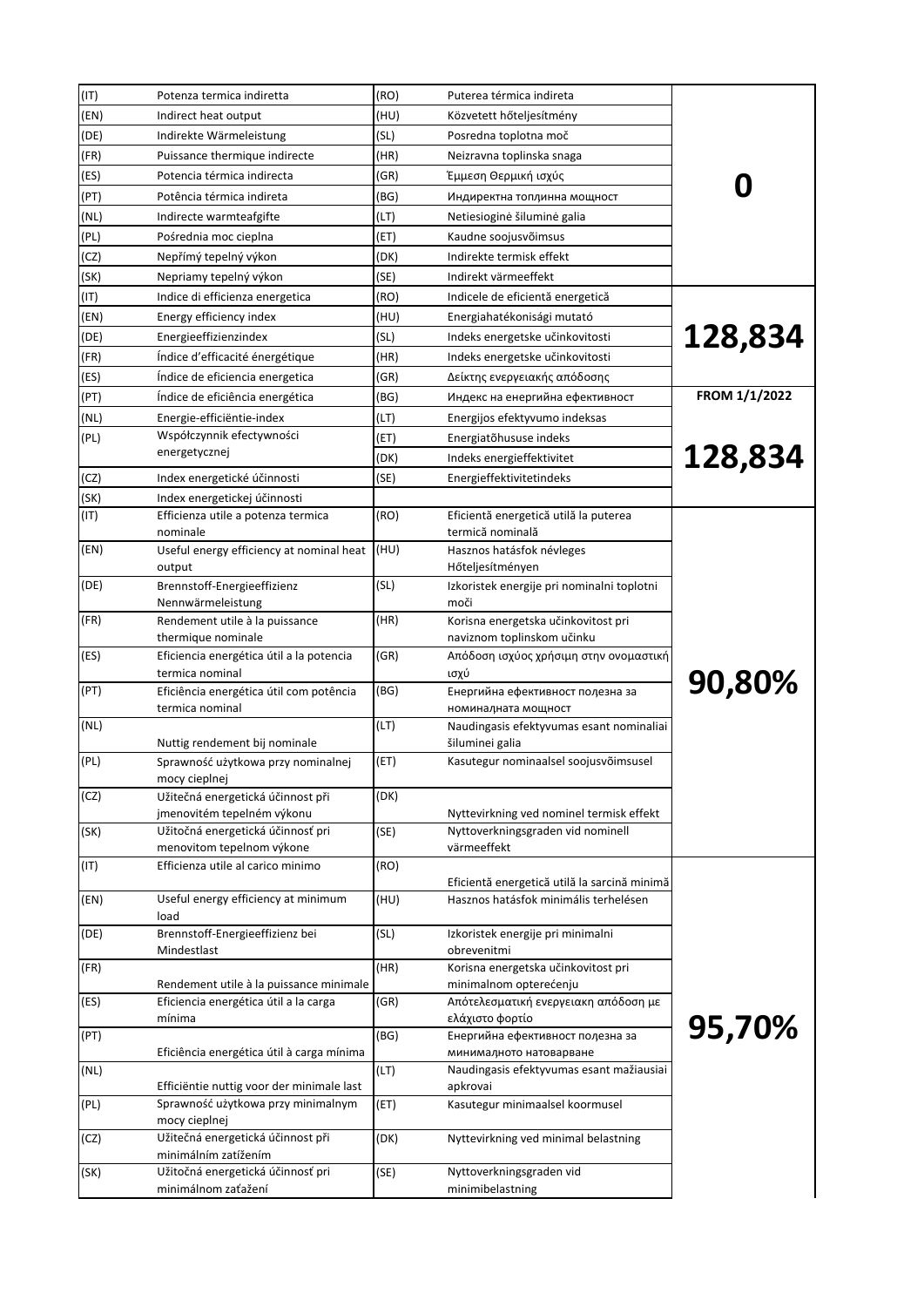| (IT) | Potenza termica indiretta                                      | (RO) | Puterea térmica indireta                                            |               |
|------|----------------------------------------------------------------|------|---------------------------------------------------------------------|---------------|
| (EN) | Indirect heat output                                           | (HU) | Közvetett hőteljesítmény                                            |               |
| (DE) | Indirekte Wärmeleistung                                        | (SL) | Posredna toplotna moč                                               |               |
| (FR) | Puissance thermique indirecte                                  | (HR) | Neizravna toplinska snaga                                           |               |
| (ES) | Potencia térmica indirecta                                     | (GR) | Έμμεση Θερμική ισχύς                                                |               |
| (PT) | Potência térmica indireta                                      | (BG) | Индиректна топлинна мощност                                         |               |
| (NL) | Indirecte warmteafgifte                                        | (LT) | Netiesioginė šiluminė galia                                         |               |
| (PL) | Pośrednia moc cieplna                                          | (ET) | Kaudne soojusvõimsus                                                |               |
| (CZ) | Nepřímý tepelný výkon                                          | (DK) | Indirekte termisk effekt                                            |               |
| (SK) | Nepriamy tepelný výkon                                         | (SE) | Indirekt värmeeffekt                                                |               |
| (IT) | Indice di efficienza energetica                                | (RO) | Indicele de eficientă energetică                                    |               |
| (EN) | Energy efficiency index                                        | (HU) | Energiahatékonisági mutató                                          |               |
| (DE) | Energieeffizienzindex                                          | (SL) | Indeks energetske učinkovitosti                                     | 128,834       |
| (FR) | Índice d'efficacité énergétique                                | (HR) | Indeks energetske učinkovitosti                                     |               |
| (ES) | Índice de eficiencia energetica                                | (GR) | Δείκτης ενεργειακής απόδοσης                                        |               |
| (PT) | Índice de eficiência energética                                | (BG) | Индекс на енергийна ефективност                                     | FROM 1/1/2022 |
| (NL) | Energie-efficiëntie-index                                      | (LT) | Energijos efektyvumo indeksas                                       |               |
| (PL) | Współczynnik efectywności                                      | (ET) | Energiatõhususe indeks                                              |               |
|      | energetycznej                                                  | (DK) | Indeks energieffektivitet                                           | 128,834       |
| (CZ) | Index energetické účinnosti                                    | (SE) | Energieffektivitetindeks                                            |               |
| (SK) | Index energetickej účinnosti                                   |      |                                                                     |               |
| (IT) | Efficienza utile a potenza termica<br>nominale                 | (RO) | Eficientă energetică utilă la puterea<br>termică nominală           |               |
| (EN) | Useful energy efficiency at nominal heat                       | (HU) | Hasznos hatásfok névleges                                           |               |
| (DE) | output                                                         | (SL) | Hőteljesítményen                                                    |               |
|      | Brennstoff-Energieeffizienz<br>Nennwärmeleistung               |      | Izkoristek energije pri nominalni toplotni<br>moči                  |               |
| (FR) | Rendement utile à la puissance                                 | (HR) | Korisna energetska učinkovitost pri                                 |               |
|      | thermique nominale                                             |      | naviznom toplinskom učinku                                          |               |
| (ES) | Eficiencia energética útil a la potencia<br>termica nominal    | (GR) | Απόδοση ισχύος χρήσιμη στην ονομαστική<br>ισχύ                      |               |
| (PT) | Eficiência energética útil com potência<br>termica nominal     | (BG) | Енергийна ефективност полезна за<br>номиналната мощност             | 90,80%        |
| (NL) | Nuttig rendement bij nominale                                  | (LT) | Naudingasis efektyvumas esant nominaliai<br>šiluminei galia         |               |
| (PL) | Sprawność użytkowa przy nominalnej<br>mocy cieplnej            | (ET) | Kasutegur nominaalsel soojusvõimsusel                               |               |
| (CZ) | Užitečná energetická účinnost při                              | (DK) |                                                                     |               |
|      | jmenovitém tepelném výkonu                                     |      | Nyttevirkning ved nominel termisk effekt                            |               |
| (SK) | Užitočná energetická účinnosť pri<br>menovitom tepelnom výkone | (SE) | Nyttoverkningsgraden vid nominell<br>värmeeffekt                    |               |
| (TI) | Efficienza utile al carico minimo                              | (RO) |                                                                     |               |
|      |                                                                |      | Eficientă energetică utilă la sarcină minimă                        |               |
| (EN) | Useful energy efficiency at minimum<br>load                    | (HU) | Hasznos hatásfok minimális terhelésen                               |               |
| (DE) | Brennstoff-Energieeffizienz bei<br>Mindestlast                 | (SL) | Izkoristek energije pri minimalni<br>obrevenitmi                    |               |
| (FR) |                                                                | (HR) | Korisna energetska učinkovitost pri                                 |               |
|      | Rendement utile à la puissance minimale                        |      | minimalnom opterećenju                                              |               |
| (ES) | Eficiencia energética útil a la carga                          | (GR) | Απότελεσματική ενεργειακη απόδοση με                                |               |
|      | mínima                                                         |      | ελάχιστο φορτίο                                                     | 95,70%        |
| (PT) |                                                                | (BG) | Енергийна ефективност полезна за                                    |               |
| (NL) | Eficiência energética útil à carga mínima                      | (LT) | минималното натоварване<br>Naudingasis efektyvumas esant mažiausiai |               |
|      | Efficiëntie nuttig voor der minimale last                      |      | apkrovai                                                            |               |
| (PL) | Sprawność użytkowa przy minimalnym                             | (ET) | Kasutegur minimaalsel koormusel                                     |               |
|      | mocy cieplnej                                                  |      |                                                                     |               |
| (CZ) | Užitečná energetická účinnost při<br>minimálním zatížením      | (DK) | Nyttevirkning ved minimal belastning                                |               |
| (SK) | Užitočná energetická účinnosť pri                              | (SE) | Nyttoverkningsgraden vid                                            |               |
|      | minimálnom zaťažení                                            |      | minimibelastning                                                    |               |